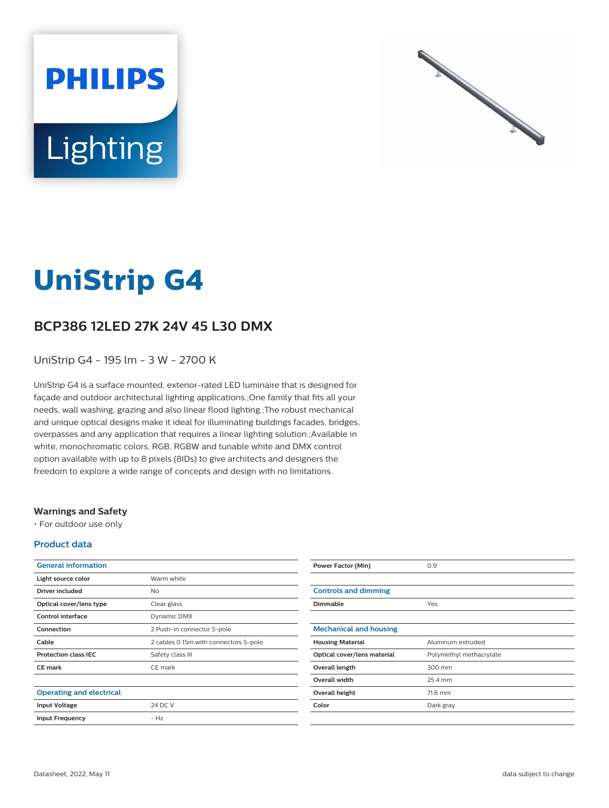



# **UniStrip G4**

## **BCP386 12LED 27K 24V 45 L30 DMX**

UniStrip G4 - 195 lm - 3 W - 2700 K

UniStrip G4 is a surface mounted, exterior-rated LED luminaire that is designed for façade and outdoor architectural lighting applications.;One family that fits all your needs, wall washing, grazing and also linear flood lighting.;The robust mechanical and unique optical designs make it ideal for illuminating buildings facades, bridges, overpasses and any application that requires a linear lighting solution.;Available in white, monochromatic colors, RGB, RGBW and tunable white and DMX control option available with up to 8 pixels (8IDs) to give architects and designers the freedom to explore a wide range of concepts and design with no limitations.

#### **Warnings and Safety**

• For outdoor use only

#### **Product data**

| <b>General information</b>      |                                       |
|---------------------------------|---------------------------------------|
| Light source color              | Warm white                            |
| Driver included                 | <b>No</b>                             |
| Optical cover/lens type         | Clear glass                           |
| Control interface               | Dynamic DMX                           |
| Connection                      | 2 Push-in connector 5-pole            |
| Cable                           | 2 cables 0.15m with connectors 5-pole |
| <b>Protection class IEC</b>     | Safety class III                      |
| <b>CE</b> mark                  | CE mark                               |
|                                 |                                       |
| <b>Operating and electrical</b> |                                       |
| <b>Input Voltage</b>            | 24 DC V                               |
| <b>Input Frequency</b>          | – Hz                                  |
|                                 |                                       |

| <b>Power Factor (Min)</b>     | 0.9                     |
|-------------------------------|-------------------------|
|                               |                         |
| <b>Controls and dimming</b>   |                         |
| <b>Dimmable</b>               | Yes                     |
|                               |                         |
| <b>Mechanical and housing</b> |                         |
| <b>Housing Material</b>       | Aluminum extruded       |
| Optical cover/lens material   | Polymethyl methacrylate |
| Overall length                | 300 mm                  |
| Overall width                 | 25.4 mm                 |
| Overall height                | 71.6 mm                 |
| Color                         | Dark gray               |
|                               |                         |